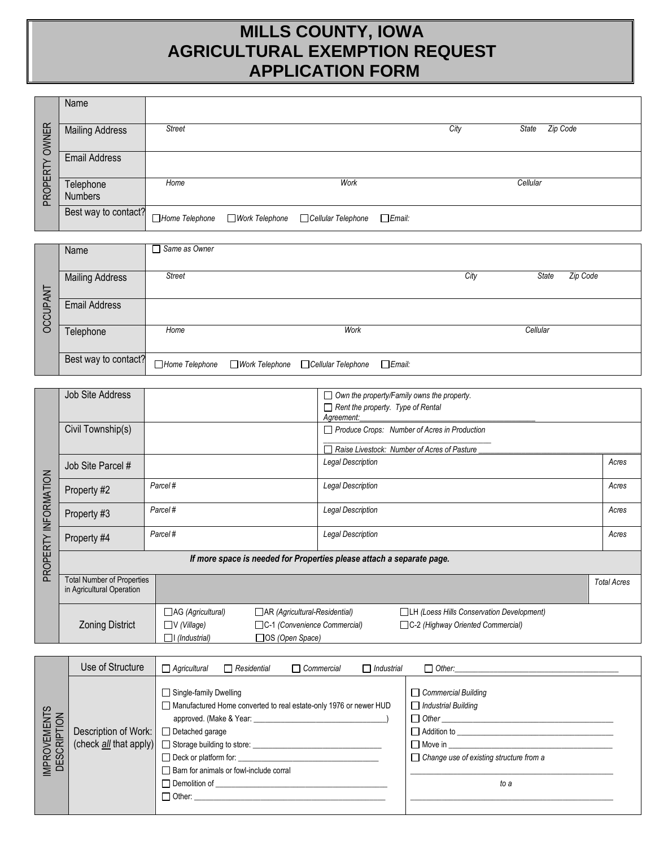# **MILLS COUNTY, IOWA AGRICULTURAL EXEMPTION REQUEST APPLICATION FORM**

|              | Name                        |               |                                                             |      |                   |  |
|--------------|-----------------------------|---------------|-------------------------------------------------------------|------|-------------------|--|
| <b>OWNER</b> | <b>Mailing Address</b>      | <b>Street</b> |                                                             | City | Zip Code<br>State |  |
|              | <b>Email Address</b>        |               |                                                             |      |                   |  |
| PROPERTY     | Telephone<br><b>Numbers</b> | Home          | Work                                                        |      | Cellular          |  |
|              | Best way to contact?        |               | □Home Telephone □Work Telephone □Cellular Telephone □Email: |      |                   |  |

|                 | Name                   | $\Box$ Same as Owner |                  |                    |           |      |          |          |
|-----------------|------------------------|----------------------|------------------|--------------------|-----------|------|----------|----------|
|                 |                        |                      |                  |                    |           |      |          |          |
|                 | <b>Mailing Address</b> | <b>Street</b>        |                  |                    |           | City | State    | Zip Code |
|                 |                        |                      |                  |                    |           |      |          |          |
|                 | <b>Email Address</b>   |                      |                  |                    |           |      |          |          |
| <b>DCCUPANT</b> |                        |                      |                  |                    |           |      |          |          |
|                 | Telephone              | Home                 |                  | Work               |           |      | Cellular |          |
|                 |                        |                      |                  |                    |           |      |          |          |
|                 | Best way to contact?   | Home Telephone       | ■ Work Telephone | Cellular Telephone | $E$ mail: |      |          |          |

|             | <b>Job Site Address</b>                                        |                          |                                                                       | $\Box$ Rent the property. Type of Rental<br>Agreement: | $\Box$ Own the property/Family owns the property. |                    |
|-------------|----------------------------------------------------------------|--------------------------|-----------------------------------------------------------------------|--------------------------------------------------------|---------------------------------------------------|--------------------|
|             | Civil Township(s)                                              |                          |                                                                       |                                                        | Produce Crops: Number of Acres in Production      |                    |
|             |                                                                |                          |                                                                       |                                                        | Raise Livestock: Number of Acres of Pasture       |                    |
|             | Job Site Parcel #                                              |                          |                                                                       | <b>Legal Description</b>                               |                                                   | Acres              |
| INFORMATION | Property #2                                                    | Parcel#                  |                                                                       | <b>Legal Description</b>                               |                                                   | Acres              |
|             | Property #3                                                    | Parcel#                  |                                                                       | <b>Legal Description</b>                               |                                                   | Acres              |
|             | Property #4                                                    | Parcel#                  |                                                                       | <b>Legal Description</b>                               |                                                   | Acres              |
| PROPERTY    |                                                                |                          | If more space is needed for Properties please attach a separate page. |                                                        |                                                   |                    |
|             | <b>Total Number of Properties</b><br>in Agricultural Operation |                          |                                                                       |                                                        |                                                   | <b>Total Acres</b> |
|             |                                                                | $\Box$ AG (Agricultural) | AR (Agricultural-Residential)                                         |                                                        | <b>ILH (Loess Hills Conservation Development)</b> |                    |
|             | <b>Zoning District</b>                                         | $\Box V$ (Village)       | C-1 (Convenience Commercial)                                          |                                                        | C-2 (Highway Oriented Commercial)                 |                    |
|             |                                                                | $\Box$ I (Industrial)    | □OS (Open Space)                                                      |                                                        |                                                   |                    |

|                             | Use of Structure                       | $\Box$ Agricultural<br>$\Box$ Residential<br>$\Box$ Commercial                                                                                                                                                                                                                                                                                                                                                                                                  | $\Box$ Industrial | $\Box$ Other:                                                                                                                                                                      |
|-----------------------------|----------------------------------------|-----------------------------------------------------------------------------------------------------------------------------------------------------------------------------------------------------------------------------------------------------------------------------------------------------------------------------------------------------------------------------------------------------------------------------------------------------------------|-------------------|------------------------------------------------------------------------------------------------------------------------------------------------------------------------------------|
| IMPROVEMENTS<br>DESCRIPTION | Description of Work: □ Detached garage | $\Box$ Single-family Dwelling<br>Manufactured Home converted to real estate-only 1976 or newer HUD<br>approved. (Make & Year: experience of the state of the state of the state of the state of the state of the state of the state of the state of the state of the state of the state of the state of the state of the state of th<br>$\Box$ Deck or platform for:<br>Barn for animals or fowl-include corral<br>Demolition of Demolition of<br>$\Box$ Other: |                   | $\Box$ Commercial Building<br>$\Box$ Industrial Building<br>Addition to ______________________________<br>$\Box$ Move in<br>$\Box$ Change use of existing structure from a<br>to a |